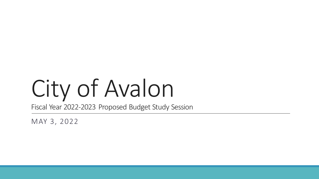# City of Avalon

Fiscal Year 2022-2023 Proposed Budget Study Session

MAY 3, 2022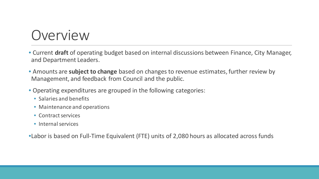## Overview

- Current **draft** of operating budget based on internal discussions between Finance, City Manager, and Department Leaders.
- Amounts are **subject to change** based on changes to revenue estimates, further review by Management, and feedback from Council and the public.
- Operating expenditures are grouped in the following categories:
	- Salaries and benefits
	- Maintenance and operations
	- Contract services
	- Internal services

•Labor is based on Full-Time Equivalent (FTE) units of 2,080 hours as allocated across funds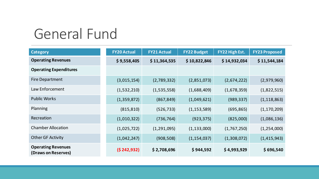## General Fund

| <b>Category</b>                                  | <b>FY20 Actual</b> | <b>FY21 Actual</b> | <b>FY22 Budget</b> | FY22 High Est. | <b>FY23 Proposed</b> |
|--------------------------------------------------|--------------------|--------------------|--------------------|----------------|----------------------|
| <b>Operating Revenues</b>                        | \$9,558,405        | \$11,364,535       | \$10,822,846       | \$14,932,034   | \$11,544,184         |
| <b>Operating Expenditures</b>                    |                    |                    |                    |                |                      |
| <b>Fire Department</b>                           | (3,015,154)        | (2,789,332)        | (2,851,073)        | (2,674,222)    | (2,979,960)          |
| Law Enforcement                                  | (1,532,210)        | (1,535,558)        | (1,688,409)        | (1,678,359)    | (1,822,515)          |
| <b>Public Works</b>                              | (1,359,872)        | (867, 849)         | (1,049,621)        | (989, 337)     | (1, 118, 863)        |
| Planning                                         | (815, 810)         | (526, 733)         | (1, 153, 589)      | (695, 865)     | (1, 170, 209)        |
| Recreation                                       | (1,010,322)        | (736, 764)         | (923, 375)         | (825,000)      | (1,086,136)          |
| <b>Chamber Allocation</b>                        | (1,025,722)        | (1, 291, 095)      | (1, 133, 000)      | (1,767,250)    | (1,254,000)          |
| <b>Other GF Activity</b>                         | (1,042,247)        | (908, 508)         | (1, 154, 037)      | (1,308,072)    | (1,415,943)          |
| <b>Operating Revenues</b><br>(Draws on Reserves) | (5242, 932)        | \$2,708,696        | \$944,592          | \$4,993,929    | \$696,540            |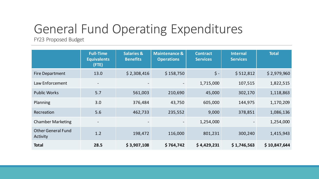## General Fund Operating Expenditures

FY23 Proposed Budget

|                                       | <b>Full-Time</b><br><b>Equivalents</b><br>(FTE) | <b>Salaries &amp;</b><br><b>Benefits</b> | <b>Maintenance &amp;</b><br><b>Operations</b> | <b>Contract</b><br><b>Services</b> | <b>Internal</b><br><b>Services</b> | <b>Total</b> |
|---------------------------------------|-------------------------------------------------|------------------------------------------|-----------------------------------------------|------------------------------------|------------------------------------|--------------|
| <b>Fire Department</b>                | 13.0                                            | \$2,308,416                              | \$158,750                                     | $\zeta$ -                          | \$512,812                          | \$2,979,960  |
| Law Enforcement                       | $\overline{\phantom{a}}$                        |                                          |                                               | 1,715,000                          | 107,515                            | 1,822,515    |
| <b>Public Works</b>                   | 5.7                                             | 561,003                                  | 210,690                                       | 45,000                             | 302,170                            | 1,118,863    |
| Planning                              | 3.0                                             | 376,484                                  | 43,750                                        | 605,000                            | 144,975                            | 1,170,209    |
| Recreation                            | 5.6                                             | 462,733                                  | 235,552                                       | 9,000                              | 378,851                            | 1,086,136    |
| <b>Chamber Marketing</b>              |                                                 |                                          |                                               | 1,254,000                          |                                    | 1,254,000    |
| <b>Other General Fund</b><br>Activity | 1.2                                             | 198,472                                  | 116,000                                       | 801,231                            | 300,240                            | 1,415,943    |
| <b>Total</b>                          | 28.5                                            | \$3,907,108                              | \$764,742                                     | \$4,429,231                        | \$1,746,563                        | \$10,847,644 |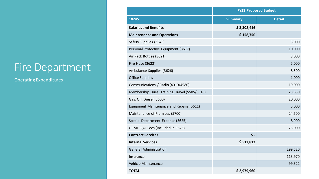#### Fire Department

|                                               | <b>FY23 Proposed Budget</b> |               |  |
|-----------------------------------------------|-----------------------------|---------------|--|
| 10245                                         | <b>Summary</b>              | <b>Detail</b> |  |
| <b>Salaries and Benefits</b>                  | \$2,308,416                 |               |  |
| <b>Maintenance and Operations</b>             | \$158,750                   |               |  |
| Safety Supplies (3545)                        |                             | 5,000         |  |
| Personal Protective Equipment (3617)          |                             | 10,000        |  |
| Air Pack Bottles (3621)                       |                             | 3,000         |  |
| Fire Hose (3622)                              |                             | 5,000         |  |
| Ambulance Supplies (3626)                     |                             | 8,500         |  |
| <b>Office Supplies</b>                        |                             | 1,000         |  |
| Communications / Radio (4010/4580)            |                             | 19,000        |  |
| Membership Dues, Training, Travel (5505/5510) |                             | 23,850        |  |
| Gas, Oil, Diesel (5600)                       |                             | 20,000        |  |
| Equipment Maintenance and Repairs (5611)      |                             | 5,000         |  |
| Maintenance of Premises (5700)                |                             | 24,500        |  |
| Special Department Expense (3625)             |                             | 8,900         |  |
| GEMT QAF Fees (included in 3625)              |                             | 25,000        |  |
| <b>Contract Services</b>                      | $\dot{\mathsf{S}}$ -        |               |  |
| <b>Internal Services</b>                      | \$512,812                   |               |  |
| <b>General Administration</b>                 |                             | 299,520       |  |
| Insurance                                     |                             | 113,970       |  |
| Vehicle Maintenance                           |                             | 99,322        |  |
| <b>TOTAL</b>                                  | \$2,979,960                 |               |  |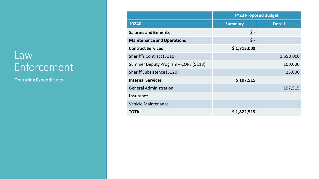#### Law Enforcement

|                                     | <b>FY23 Proposed Budget</b> |               |  |
|-------------------------------------|-----------------------------|---------------|--|
| 10240                               | <b>Summary</b>              | <b>Detail</b> |  |
| <b>Salaries and Benefits</b>        | $\mathsf{S}$ -              |               |  |
| <b>Maintenance and Operations</b>   | $\boldsymbol{\zeta}$ -      |               |  |
| <b>Contract Services</b>            | \$1,715,000                 |               |  |
| Sheriff's Contract (5110)           |                             | 1,590,000     |  |
| Summer Deputy Program - COPS (5118) |                             | 100,000       |  |
| Sheriff Subsistence (5120)          |                             | 25,000        |  |
| <b>Internal Services</b>            | \$107,515                   |               |  |
| <b>General Administration</b>       |                             | 107,515       |  |
| Insurance                           |                             |               |  |
| <b>Vehicle Maintenance</b>          |                             |               |  |
| <b>TOTAL</b>                        | \$1,822,515                 |               |  |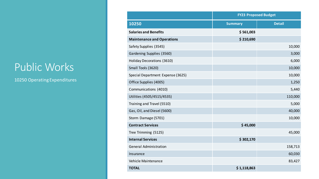#### Public Works

|                                   | <b>FY23 Proposed Budget</b> |               |  |
|-----------------------------------|-----------------------------|---------------|--|
| 10250                             | <b>Summary</b>              | <b>Detail</b> |  |
| <b>Salaries and Benefits</b>      | \$561,003                   |               |  |
| <b>Maintenance and Operations</b> | \$210,690                   |               |  |
| Safety Supplies (3545)            |                             | 10,000        |  |
| Gardening Supplies (3560)         |                             | 3,000         |  |
| Holiday Decorations (3610)        |                             | 6,000         |  |
| Small Tools (3620)                |                             | 10,000        |  |
| Special Department Expense (3625) |                             | 10,000        |  |
| Office Supplies (4005)            |                             | 1,250         |  |
| Communications (4010)             |                             | 5,440         |  |
| Utilities (4505/4515/4535)        |                             | 110,000       |  |
| Training and Travel (5510)        |                             | 5,000         |  |
| Gas, Oil, and Diesel (5600)       |                             | 40,000        |  |
| Storm Damage (5701)               |                             | 10,000        |  |
| <b>Contract Services</b>          | \$45,000                    |               |  |
| Tree Trimming (5125)              |                             | 45,000        |  |
| <b>Internal Services</b>          | \$302,170                   |               |  |
| <b>General Administration</b>     |                             | 158,713       |  |
| Insurance                         |                             | 60,030        |  |
| Vehicle Maintenance               |                             | 83,427        |  |
| <b>TOTAL</b>                      | \$1,118,863                 |               |  |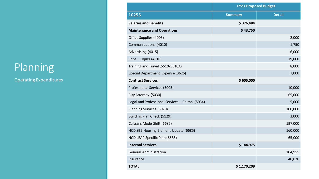## Planning

|                                                 | <b>FY23 Proposed Budget</b> |               |  |
|-------------------------------------------------|-----------------------------|---------------|--|
| 10255                                           | <b>Summary</b>              | <b>Detail</b> |  |
| <b>Salaries and Benefits</b>                    | \$376,484                   |               |  |
| <b>Maintenance and Operations</b>               | \$43,750                    |               |  |
| Office Supplies (4005)                          |                             | 2,000         |  |
| Communications (4010)                           |                             | 1,750         |  |
| Advertising (4015)                              |                             | 6,000         |  |
| Rent-Copier (4610)                              |                             | 19,000        |  |
| Training and Travel (5510/5510A)                |                             | 8,000         |  |
| Special Department Expense (3625)               |                             | 7,000         |  |
| <b>Contract Services</b>                        | \$605,000                   |               |  |
| Professional Services (5005)                    |                             | 10,000        |  |
| City Attorney (5030)                            |                             | 65,000        |  |
| Legal and Professional Services - Reimb. (5034) |                             | 5,000         |  |
| Planning Services (5070)                        |                             | 100,000       |  |
| Building Plan Check (5129)                      |                             | 3,000         |  |
| Caltrans Mode Shift (6685)                      |                             | 197,000       |  |
| HCD SB2 Housing Element Update (6685)           |                             | 160,000       |  |
| HCD LEAP Specific Plan (6685)                   |                             | 65,000        |  |
| <b>Internal Services</b>                        | \$144,975                   |               |  |
| <b>General Administration</b>                   |                             | 104,955       |  |
| Insurance                                       |                             | 40,020        |  |
| <b>TOTAL</b>                                    | \$1,170,209                 |               |  |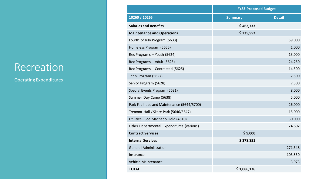#### Recreation

|                                             | <b>FY23 Proposed Budget</b> |               |  |  |
|---------------------------------------------|-----------------------------|---------------|--|--|
| 10260 / 10265                               | <b>Summary</b>              | <b>Detail</b> |  |  |
| <b>Salaries and Benefits</b>                | \$462,733                   |               |  |  |
| <b>Maintenance and Operations</b>           | \$235,552                   |               |  |  |
| Fourth of July Program (5633)               |                             | 59,000        |  |  |
| Homeless Program (5655)                     |                             | 1,000         |  |  |
| Rec Programs - Youth (5624)                 |                             | 13,000        |  |  |
| Rec Programs - Adult (5625)                 |                             | 24,250        |  |  |
| Rec Programs - Contracted (5625)            |                             | 14,500        |  |  |
| Teen Program (5627)                         |                             | 7,500         |  |  |
| Senior Program (5628)                       |                             | 7,500         |  |  |
| Special Events Program (5631)               |                             | 8,000         |  |  |
| Summer Day Camp (5638)                      |                             | 5,000         |  |  |
| Park Facilities and Maintenance (5644/5700) |                             | 26,000        |  |  |
| Tremont Hall / Skate Park (5646/5647)       |                             | 15,000        |  |  |
| Utilities - Joe Machado Field (4510)        |                             | 30,000        |  |  |
| Other Departmental Expenditures (various)   |                             | 24,802        |  |  |
| <b>Contract Services</b>                    | \$9,000                     |               |  |  |
| <b>Internal Services</b>                    | \$378,851                   |               |  |  |
| <b>General Administration</b>               |                             | 271,348       |  |  |
| Insurance                                   |                             | 103,530       |  |  |
| Vehicle Maintenance                         |                             | 3,973         |  |  |
| <b>TOTAL</b>                                | \$1,086,136                 |               |  |  |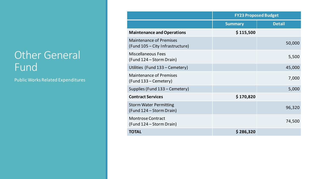#### **Other General** Fund

Public Works Related Expenditures

|                                                                    | <b>FY23 Proposed Budget</b> |               |  |
|--------------------------------------------------------------------|-----------------------------|---------------|--|
|                                                                    | <b>Summary</b>              | <b>Detail</b> |  |
| <b>Maintenance and Operations</b>                                  | \$115,500                   |               |  |
| <b>Maintenance of Premises</b><br>(Fund 105 – City Infrastructure) |                             | 50,000        |  |
| <b>Miscellaneous Fees</b><br>(Fund 124 – Storm Drain)              |                             | 5,500         |  |
| Utilities (Fund 133 – Cemetery)                                    |                             | 45,000        |  |
| <b>Maintenance of Premises</b><br>(Fund 133 – Cemetery)            |                             | 7,000         |  |
| Supplies (Fund 133 – Cemetery)                                     |                             | 5,000         |  |
| <b>Contract Services</b>                                           | \$170,820                   |               |  |
| <b>Storm Water Permitting</b><br>(Fund 124 – Storm Drain)          |                             | 96,320        |  |
| <b>Montrose Contract</b><br>(Fund 124 – Storm Drain)               |                             | 74,500        |  |
| <b>TOTAL</b>                                                       | \$286,320                   |               |  |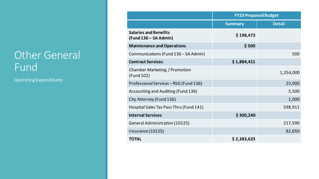#### **Other General** Fund

|                                                       | <b>FY23 Proposed Budget</b> |               |  |
|-------------------------------------------------------|-----------------------------|---------------|--|
|                                                       | <b>Summary</b>              | <b>Detail</b> |  |
| <b>Salaries and Benefits</b><br>(Fund 136 – SA Admin) | \$198,472                   |               |  |
| <b>Maintenance and Operations</b>                     | \$500                       |               |  |
| Communications (Fund 136 – SA Admin)                  |                             | 500           |  |
| <b>Contract Services</b>                              | \$1,884,411                 |               |  |
| Chamber Marketing / Promotion<br>(Fund 102)           |                             | 1,254,000     |  |
| Professional Services - RSG (Fund 136)                |                             | 25,000        |  |
| Accounting and Auditing (Fund 136)                    |                             | 5,500         |  |
| City Attorney (Fund 136)                              |                             | 1,000         |  |
| Hospital Sales Tax Pass Thru (Fund 141)               |                             | 598,911       |  |
| <b>Internal Services</b>                              | \$300,240                   |               |  |
| <b>General Administration (10225)</b>                 |                             | 217,590       |  |
| Insurance (10225)                                     |                             | 82,650        |  |
| <b>TOTAL</b>                                          | \$2,383,623                 |               |  |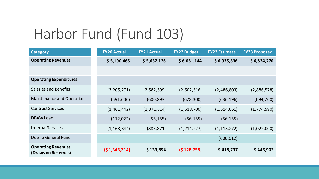## Harbor Fund (Fund 103)

| <b>Category</b>                                  | <b>FY20 Actual</b> | <b>FY21 Actual</b> | <b>FY22 Budget</b> | <b>FY22 Estimate</b> | <b>FY23 Proposed</b> |
|--------------------------------------------------|--------------------|--------------------|--------------------|----------------------|----------------------|
| <b>Operating Revenues</b>                        | \$5,190,465        | \$5,632,126        | \$6,051,144        | \$6,925,836          | \$6,824,270          |
|                                                  |                    |                    |                    |                      |                      |
| <b>Operating Expenditures</b>                    |                    |                    |                    |                      |                      |
| <b>Salaries and Benefits</b>                     | (3,205,271)        | (2,582,699)        | (2,602,516)        | (2,486,803)          | (2,886,578)          |
| <b>Maintenance and Operations</b>                | (591, 600)         | (600, 893)         | (628, 300)         | (636, 196)           | (694, 200)           |
| <b>Contract Services</b>                         | (1,461,442)        | (1,371,614)        | (1,618,700)        | (1,614,061)          | (1,774,590)          |
| <b>DBAW Loan</b>                                 | (112, 022)         | (56, 155)          | (56, 155)          | (56, 155)            |                      |
| <b>Internal Services</b>                         | (1, 163, 344)      | (886, 871)         | (1, 214, 227)      | (1, 113, 272)        | (1,022,000)          |
| Due To General Fund                              |                    |                    |                    | (600, 612)           |                      |
| <b>Operating Revenues</b><br>(Draws on Reserves) | (51,343,214)       | \$133,894          | (\$128,758)        | \$418,737            | \$446,902            |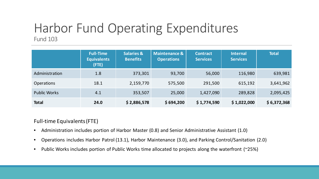#### Harbor Fund Operating Expenditures Fund 103

|                     | <b>Full-Time</b><br><b>Equivalents</b><br>(FTE) | <b>Salaries &amp;</b><br><b>Benefits</b> | <b>Maintenance &amp;</b><br><b>Operations</b> | <b>Contract</b><br><b>Services</b> | <b>Internal</b><br><b>Services</b> | <b>Total</b> |
|---------------------|-------------------------------------------------|------------------------------------------|-----------------------------------------------|------------------------------------|------------------------------------|--------------|
| Administration      | 1.8                                             | 373,301                                  | 93,700                                        | 56,000                             | 116,980                            | 639,981      |
| <b>Operations</b>   | 18.1                                            | 2,159,770                                | 575,500                                       | 291,500                            | 615,192                            | 3,641,962    |
| <b>Public Works</b> | 4.1                                             | 353,507                                  | 25,000                                        | 1,427,090                          | 289,828                            | 2,095,425    |
| <b>Total</b>        | 24.0                                            | \$2,886,578                              | \$694,200                                     | \$1,774,590                        | \$1,022,000                        | \$6,372,368  |

#### Full-time Equivalents (FTE)

- Administration includes portion of Harbor Master (0.8) and Senior Administrative Assistant (1.0)
- Operations includes Harbor Patrol (13.1), Harbor Maintenance (3.0), and Parking Control/Sanitation (2.0)
- Public Works includes portion of Public Works time allocated to projects along the waterfront (~25%)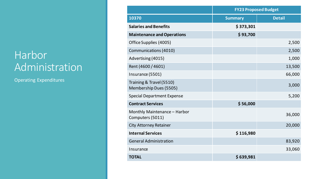#### Harbor **Administration**

|                                                    | <b>FY23 Proposed Budget</b> |               |  |
|----------------------------------------------------|-----------------------------|---------------|--|
| 10370                                              | <b>Summary</b>              | <b>Detail</b> |  |
| <b>Salaries and Benefits</b>                       | \$373,301                   |               |  |
| <b>Maintenance and Operations</b>                  | \$93,700                    |               |  |
| Office Supplies (4005)                             |                             | 2,500         |  |
| <b>Communications (4010)</b>                       |                             | 2,500         |  |
| Advertising (4015)                                 |                             | 1,000         |  |
| Rent (4600 / 4601)                                 |                             | 13,500        |  |
| Insurance (5501)                                   |                             | 66,000        |  |
| Training & Travel (5510)<br>Membership Dues (5505) |                             | 3,000         |  |
| <b>Special Department Expense</b>                  |                             | 5,200         |  |
| <b>Contract Services</b>                           | \$56,000                    |               |  |
| Monthly Maintenance - Harbor<br>Computers (5011)   |                             | 36,000        |  |
| <b>City Attorney Retainer</b>                      |                             | 20,000        |  |
| <b>Internal Services</b>                           | \$116,980                   |               |  |
| <b>General Administration</b>                      |                             | 83,920        |  |
| Insurance                                          |                             | 33,060        |  |
| <b>TOTAL</b>                                       | \$639,981                   |               |  |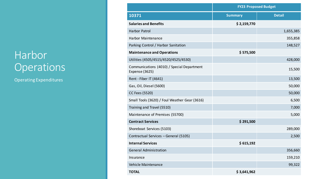#### Harbor Operations

|                                                                     | <b>FY23 Proposed Budget</b> |               |  |
|---------------------------------------------------------------------|-----------------------------|---------------|--|
| 10371                                                               | <b>Summary</b>              | <b>Detail</b> |  |
| <b>Salaries and Benefits</b>                                        | \$2,159,770                 |               |  |
| Harbor Patrol                                                       |                             | 1,655,385     |  |
| <b>Harbor Maintenance</b>                                           |                             | 355,858       |  |
| Parking Control / Harbor Sanitation                                 |                             | 148,527       |  |
| <b>Maintenance and Operations</b>                                   | \$575,500                   |               |  |
| Utilities (4505/4515/4520/4525/4530)                                |                             | 428,000       |  |
| Communications (4010) / Special Department<br><b>Expense (3625)</b> |                             | 15,500        |  |
| Rent - Fiber IT (4641)                                              |                             | 13,500        |  |
| Gas, Oil, Diesel (5600)                                             |                             | 50,000        |  |
| CC Fees (5520)                                                      |                             | 50,000        |  |
| Small Tools (3620) / Foul Weather Gear (3616)                       |                             | 6,500         |  |
| Training and Travel (5510)                                          |                             | 7,000         |  |
| Maintenance of Premises (55700)                                     |                             | 5,000         |  |
| <b>Contract Services</b>                                            | \$291,500                   |               |  |
| Shoreboat Services (5103)                                           |                             | 289,000       |  |
| Contractual Services - General (5105)                               |                             | 2,500         |  |
| <b>Internal Services</b>                                            | \$615,192                   |               |  |
| <b>General Administration</b>                                       |                             | 356,660       |  |
| Insurance                                                           |                             | 159,210       |  |
| Vehicle Maintenance                                                 |                             | 99,322        |  |
| <b>TOTAL</b>                                                        | \$3,641,962                 |               |  |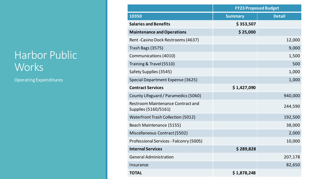#### Harbor Public Works

|                                                                  | <b>FY23 Proposed Budget</b> |               |  |
|------------------------------------------------------------------|-----------------------------|---------------|--|
| 10350                                                            | <b>Summary</b>              | <b>Detail</b> |  |
| <b>Salaries and Benefits</b>                                     | \$353,507                   |               |  |
| <b>Maintenance and Operations</b>                                | \$25,000                    |               |  |
| Rent-Casino Dock Restrooms (4637)                                |                             | 12,000        |  |
| Trash Bags (3575)                                                |                             | 9,000         |  |
| <b>Communications (4010)</b>                                     |                             | 1,500         |  |
| Training & Travel (5510)                                         |                             | 500           |  |
| Safety Supplies (3545)                                           |                             | 1,000         |  |
| Special Department Expense (3625)                                |                             | 1,000         |  |
| <b>Contract Services</b>                                         | \$1,427,090                 |               |  |
| County Lifeguard / Paramedics (5060)                             |                             | 940,000       |  |
| <b>Restroom Maintenance Contract and</b><br>Supplies (5160/5161) |                             | 244,590       |  |
| <b>Waterfront Trash Collection (5012)</b>                        |                             | 192,500       |  |
| Beach Maintenance (5155)                                         |                             | 38,000        |  |
| Miscellaneous Contract (5502)                                    |                             | 2,000         |  |
| Professional Services - Falconry (5005)                          |                             | 10,000        |  |
| <b>Internal Services</b>                                         | \$289,828                   |               |  |
| <b>General Administration</b>                                    |                             | 207,178       |  |
| Insurance                                                        |                             | 82,650        |  |
| <b>TOTAL</b>                                                     | \$1,878,248                 |               |  |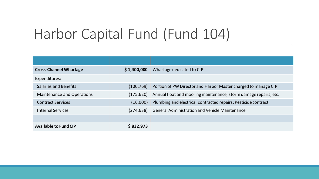# Harbor Capital Fund (Fund 104)

| <b>Cross-Channel Wharfage</b> | \$1,400,000 | Wharfage dedicated to CIP                                        |
|-------------------------------|-------------|------------------------------------------------------------------|
| Expenditures:                 |             |                                                                  |
| <b>Salaries and Benefits</b>  | (100, 769)  | Portion of PW Director and Harbor Master charged to manage CIP   |
| Maintenance and Operations    | (175, 620)  | Annual float and mooring maintenance, storm damage repairs, etc. |
| <b>Contract Services</b>      | (16,000)    | Plumbing and electrical contracted repairs; Pesticide contract   |
| <b>Internal Services</b>      | (274, 638)  | <b>General Administration and Vehicle Maintenance</b>            |
|                               |             |                                                                  |
| <b>Available to Fund CIP</b>  | \$832,973   |                                                                  |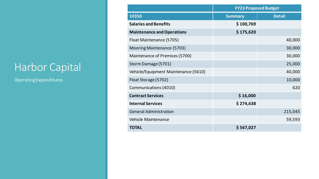#### Harbor Capital

|                                      | <b>FY23 Proposed Budget</b> |               |  |
|--------------------------------------|-----------------------------|---------------|--|
| 10350                                | <b>Summary</b>              | <b>Detail</b> |  |
| <b>Salaries and Benefits</b>         | \$100,769                   |               |  |
| <b>Maintenance and Operations</b>    | \$175,620                   |               |  |
| Float Maintenance (5705)             |                             | 40,000        |  |
| Mooring Maintenance (5703)           |                             | 30,000        |  |
| Maintenance of Premises (5700)       |                             | 30,000        |  |
| Storm Damage (5701)                  |                             | 25,000        |  |
| Vehicle/Equipment Maintenance (5610) |                             | 40,000        |  |
| Float Storage (5702)                 |                             | 10,000        |  |
| Communications (4010)                |                             | 620           |  |
| <b>Contract Services</b>             | \$16,000                    |               |  |
| <b>Internal Services</b>             | \$274,638                   |               |  |
| <b>General Administration</b>        |                             | 215,045       |  |
| <b>Vehicle Maintenance</b>           |                             | 59,593        |  |
| <b>TOTAL</b>                         | \$567,027                   |               |  |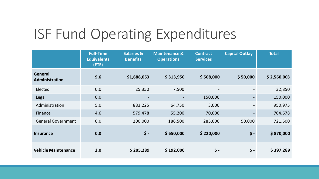## ISF Fund Operating Expenditures

|                            | <b>Full-Time</b><br><b>Equivalents</b><br>(FTE) | <b>Salaries &amp;</b><br><b>Benefits</b> | <b>Maintenance &amp;</b><br><b>Operations</b> | <b>Contract</b><br><b>Services</b> | <b>Capital Outlay</b> | <b>Total</b> |
|----------------------------|-------------------------------------------------|------------------------------------------|-----------------------------------------------|------------------------------------|-----------------------|--------------|
| General<br>Administration  | 9.6                                             | \$1,688,053                              | \$313,950                                     | \$508,000                          | \$50,000              | \$2,560,003  |
| Elected                    | 0.0                                             | 25,350                                   | 7,500                                         |                                    |                       | 32,850       |
| Legal                      | 0.0                                             |                                          |                                               | 150,000                            |                       | 150,000      |
| Administration             | 5.0                                             | 883,225                                  | 64,750                                        | 3,000                              |                       | 950,975      |
| Finance                    | 4.6                                             | 579,478                                  | 55,200                                        | 70,000                             |                       | 704,678      |
| <b>General Government</b>  | 0.0                                             | 200,000                                  | 186,500                                       | 285,000                            | 50,000                | 721,500      |
| <b>Insurance</b>           | 0.0                                             | $\zeta$ -                                | \$650,000                                     | \$220,000                          | $\zeta$ -             | \$870,000    |
| <b>Vehicle Maintenance</b> | 2.0                                             | \$205,289                                | \$192,000                                     | \$ -                               | $\frac{1}{2}$ -       | \$397,289    |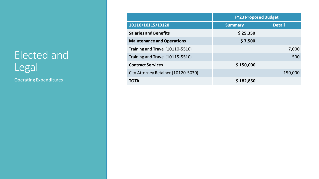### Elected and Legal

|                                     | <b>FY23 Proposed Budget</b> |               |  |
|-------------------------------------|-----------------------------|---------------|--|
| 10110/10115/10120                   | <b>Summary</b>              | <b>Detail</b> |  |
| <b>Salaries and Benefits</b>        | \$25,350                    |               |  |
| <b>Maintenance and Operations</b>   | \$7,500                     |               |  |
| Training and Travel (10110-5510)    |                             | 7,000         |  |
| Training and Travel (10115-5510)    |                             | 500           |  |
| <b>Contract Services</b>            | \$150,000                   |               |  |
| City Attorney Retainer (10120-5030) |                             | 150,000       |  |
| <b>TOTAL</b>                        | \$182,850                   |               |  |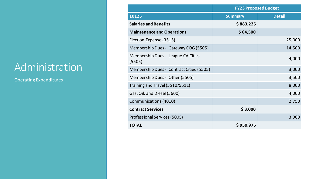#### **Administration**

|                                              | <b>FY23 Proposed Budget</b> |               |  |
|----------------------------------------------|-----------------------------|---------------|--|
| 10125                                        | <b>Summary</b>              | <b>Detail</b> |  |
| <b>Salaries and Benefits</b>                 | \$883,225                   |               |  |
| <b>Maintenance and Operations</b>            | \$64,500                    |               |  |
| Election Expense (3515)                      |                             | 25,000        |  |
| Membership Dues - Gateway COG (5505)         |                             | 14,500        |  |
| Membership Dues - League CA Cities<br>(5505) |                             | 4,000         |  |
| Membership Dues - Contract Cities (5505)     |                             | 3,000         |  |
| Membership Dues - Other (5505)               |                             | 3,500         |  |
| Training and Travel (5510/5511)              |                             | 8,000         |  |
| Gas, Oil, and Diesel (5600)                  |                             | 4,000         |  |
| <b>Communications (4010)</b>                 |                             | 2,750         |  |
| <b>Contract Services</b>                     | \$3,000                     |               |  |
| Professional Services (5005)                 |                             | 3,000         |  |
| <b>TOTAL</b>                                 | \$950,975                   |               |  |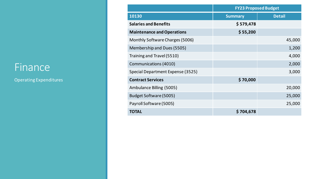#### Finance

|                                   | <b>FY23 Proposed Budget</b> |               |  |
|-----------------------------------|-----------------------------|---------------|--|
| 10130                             | <b>Summary</b>              | <b>Detail</b> |  |
| <b>Salaries and Benefits</b>      | \$579,478                   |               |  |
| <b>Maintenance and Operations</b> | \$55,200                    |               |  |
| Monthly Software Charges (5006)   |                             | 45,000        |  |
| Membership and Dues (5505)        |                             | 1,200         |  |
| Training and Travel (5510)        |                             | 4,000         |  |
| Communications (4010)             |                             | 2,000         |  |
| Special Department Expense (3525) |                             | 3,000         |  |
| <b>Contract Services</b>          | \$70,000                    |               |  |
| Ambulance Billing (5005)          |                             | 20,000        |  |
| Budget Software (5005)            |                             | 25,000        |  |
| Payroll Software (5005)           |                             | 25,000        |  |
| <b>TOTAL</b>                      | \$704,678                   |               |  |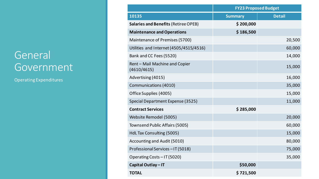#### General Government

|                                               | <b>FY23 Proposed Budget</b> |               |  |  |
|-----------------------------------------------|-----------------------------|---------------|--|--|
| 10135                                         | <b>Summary</b>              | <b>Detail</b> |  |  |
| <b>Salaries and Benefits (Retiree OPEB)</b>   | \$200,000                   |               |  |  |
| <b>Maintenance and Operations</b>             | \$186,500                   |               |  |  |
| Maintenance of Premises (5700)                |                             | 20,500        |  |  |
| Utilities and Internet (4505/4515/4516)       |                             | 60,000        |  |  |
| Bank and CC Fees (5520)                       |                             | 14,000        |  |  |
| Rent - Mail Machine and Copier<br>(4610/4615) |                             | 15,000        |  |  |
| Advertising (4015)                            |                             | 16,000        |  |  |
| <b>Communications (4010)</b>                  |                             | 35,000        |  |  |
| Office Supplies (4005)                        |                             | 15,000        |  |  |
| Special Department Expense (3525)             |                             | 11,000        |  |  |
| <b>Contract Services</b>                      | \$285,000                   |               |  |  |
| Website Remodel (5005)                        |                             | 20,000        |  |  |
| <b>Townsend Public Affairs (5005)</b>         |                             | 60,000        |  |  |
| <b>HdL Tax Consulting (5005)</b>              |                             | 15,000        |  |  |
| Accounting and Audit (5010)                   |                             | 80,000        |  |  |
| Professional Services-IT (5018)               |                             | 75,000        |  |  |
| Operating Costs - IT (5020)                   |                             | 35,000        |  |  |
| Capital Outlay - IT                           | \$50,000                    |               |  |  |
| <b>TOTAL</b>                                  | \$721,500                   |               |  |  |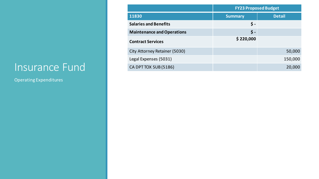#### Insurance Fund

|                                      | <b>FY23 Proposed Budget</b> |               |  |
|--------------------------------------|-----------------------------|---------------|--|
| 11830                                | <b>Summary</b>              | <b>Detail</b> |  |
| <b>Salaries and Benefits</b>         | \$ -                        |               |  |
| <b>Maintenance and Operations</b>    | \$-                         |               |  |
| <b>Contract Services</b>             | \$220,000                   |               |  |
| <b>City Attorney Retainer (5030)</b> |                             | 50,000        |  |
| Legal Expenses (5031)                |                             | 150,000       |  |
| CA DPT TOX SUB (5186)                |                             | 20,000        |  |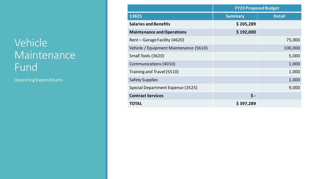#### Vehicle Maintenance Fund

|                                        | <b>FY23 Proposed Budget</b> |               |  |
|----------------------------------------|-----------------------------|---------------|--|
| 13825                                  | <b>Summary</b>              | <b>Detail</b> |  |
| <b>Salaries and Benefits</b>           | \$205,289                   |               |  |
| <b>Maintenance and Operations</b>      | \$192,000                   |               |  |
| Rent - Garage Facility (4620)          |                             | 75,000        |  |
| Vehicle / Equipment Maintenance (5610) |                             | 100,000       |  |
| Small Tools (3620)                     |                             | 5,000         |  |
| Communications (4010)                  |                             | 1,000         |  |
| Training and Travel (5510)             |                             | 1,000         |  |
| <b>Safety Supplies</b>                 |                             | 1,000         |  |
| Special Department Expense (3525)      |                             | 9,000         |  |
| <b>Contract Services</b>               | $\zeta$ -                   |               |  |
| <b>TOTAL</b>                           | \$397,289                   |               |  |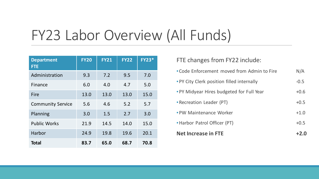# FY23 Labor Overview (All Funds)

| <b>Department</b><br><b>FTE</b> | <b>FY20</b> | <b>FY21</b> | <b>FY22</b> | <b>FY23*</b> |
|---------------------------------|-------------|-------------|-------------|--------------|
| Administration                  | 9.3         | 7.2         | 9.5         | 7.0          |
| Finance                         | 6.0         | 4.0         | 4.7         | 5.0          |
| Fire                            | 13.0        | 13.0        | 13.0        | 15.0         |
| <b>Community Service</b>        | 5.6         | 4.6         | 5.2         | 5.7          |
| Planning                        | 3.0         | 1.5         | 2.7         | 3.0          |
| <b>Public Works</b>             | 21.9        | 14.5        | 14.0        | 15.0         |
| Harbor                          | 24.9        | 19.8        | 19.6        | 20.1         |
| <b>Total</b>                    | 83.7        | 65.0        | 68.7        | 70.8         |

#### FTE changes from FY22 include:

| <b>Net Increase in FTE</b>                  |        |
|---------------------------------------------|--------|
| • Harbor Patrol Officer (PT)                | $+0.5$ |
| • PW Maintenance Worker                     | $+1.0$ |
| • Recreation Leader (PT)                    | $+0.5$ |
| • PY Midyear Hires budgeted for Full Year   | $+0.6$ |
| • PY City Clerk position filled internally  | $-0.5$ |
| . Code Enforcement moved from Admin to Fire | N/A    |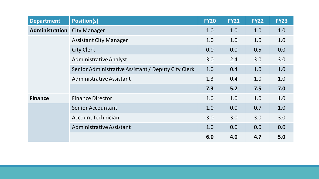| <b>Department</b> | <b>Position(s)</b>                                  | <b>FY20</b> | <b>FY21</b> | <b>FY22</b> | <b>FY23</b> |
|-------------------|-----------------------------------------------------|-------------|-------------|-------------|-------------|
| Administration    | <b>City Manager</b>                                 | 1.0         | 1.0         | 1.0         | 1.0         |
|                   | <b>Assistant City Manager</b>                       | 1.0         | 1.0         | 1.0         | 1.0         |
|                   | <b>City Clerk</b>                                   | 0.0         | 0.0         | 0.5         | 0.0         |
|                   | <b>Administrative Analyst</b>                       | 3.0         | 2.4         | 3.0         | 3.0         |
|                   | Senior Administrative Assistant / Deputy City Clerk | 1.0         | 0.4         | 1.0         | 1.0         |
|                   | Administrative Assistant                            | 1.3         | 0.4         | 1.0         | 1.0         |
|                   |                                                     | 7.3         | 5.2         | 7.5         | 7.0         |
| <b>Finance</b>    | <b>Finance Director</b>                             | 1.0         | 1.0         | 1.0         | 1.0         |
|                   | <b>Senior Accountant</b>                            | 1.0         | 0.0         | 0.7         | 1.0         |
|                   | <b>Account Technician</b>                           | 3.0         | 3.0         | 3.0         | 3.0         |
|                   | <b>Administrative Assistant</b>                     | 1.0         | 0.0         | 0.0         | 0.0         |
|                   |                                                     | 6.0         | 4.0         | 4.7         | 5.0         |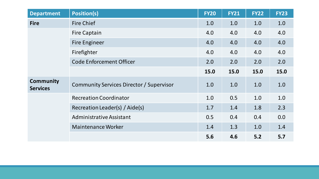| <b>Department</b>                   | <b>Position(s)</b>                       | <b>FY20</b> | <b>FY21</b> | <b>FY22</b> | <b>FY23</b> |
|-------------------------------------|------------------------------------------|-------------|-------------|-------------|-------------|
| <b>Fire</b>                         | <b>Fire Chief</b>                        | 1.0         | 1.0         | 1.0         | 1.0         |
|                                     | <b>Fire Captain</b>                      | 4.0         | 4.0         | 4.0         | 4.0         |
|                                     | <b>Fire Engineer</b>                     | 4.0         | 4.0         | 4.0         | 4.0         |
|                                     | Firefighter                              | 4.0         | 4.0         | 4.0         | 4.0         |
|                                     | <b>Code Enforcement Officer</b>          | 2.0         | 2.0         | 2.0         | 2.0         |
|                                     |                                          | 15.0        | 15.0        | 15.0        | 15.0        |
| <b>Community</b><br><b>Services</b> | Community Services Director / Supervisor | 1.0         | 1.0         | 1.0         | 1.0         |
|                                     | <b>Recreation Coordinator</b>            | 1.0         | 0.5         | 1.0         | 1.0         |
|                                     | Recreation Leader(s) / Aide(s)           | 1.7         | 1.4         | 1.8         | 2.3         |
|                                     | Administrative Assistant                 | 0.5         | 0.4         | 0.4         | 0.0         |
|                                     | <b>Maintenance Worker</b>                | 1.4         | 1.3         | 1.0         | 1.4         |
|                                     |                                          | 5.6         | 4.6         | 5.2         | 5.7         |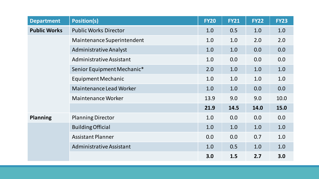| <b>Department</b>   | <b>Position(s)</b>             | <b>FY20</b> | <b>FY21</b> | <b>FY22</b> | <b>FY23</b> |
|---------------------|--------------------------------|-------------|-------------|-------------|-------------|
| <b>Public Works</b> | <b>Public Works Director</b>   | 1.0         | 0.5         | 1.0         | 1.0         |
|                     | Maintenance Superintendent     | 1.0         | 1.0         | 2.0         | 2.0         |
|                     | <b>Administrative Analyst</b>  | 1.0         | 1.0         | 0.0         | 0.0         |
|                     | Administrative Assistant       | 1.0         | 0.0         | 0.0         | 0.0         |
|                     | Senior Equipment Mechanic*     | 2.0         | 1.0         | 1.0         | 1.0         |
|                     | Equipment Mechanic             | 1.0         | 1.0         | 1.0         | 1.0         |
|                     | <b>Maintenance Lead Worker</b> | 1.0         | 1.0         | 0.0         | 0.0         |
|                     | <b>Maintenance Worker</b>      | 13.9        | 9.0         | 9.0         | 10.0        |
|                     |                                | 21.9        | 14.5        | 14.0        | 15.0        |
| <b>Planning</b>     | <b>Planning Director</b>       | 1.0         | 0.0         | 0.0         | 0.0         |
|                     | <b>Building Official</b>       | 1.0         | 1.0         | 1.0         | 1.0         |
|                     | <b>Assistant Planner</b>       | 0.0         | 0.0         | 0.7         | 1.0         |
|                     | Administrative Assistant       | 1.0         | 0.5         | 1.0         | 1.0         |
|                     |                                | 3.0         | 1.5         | 2.7         | 3.0         |